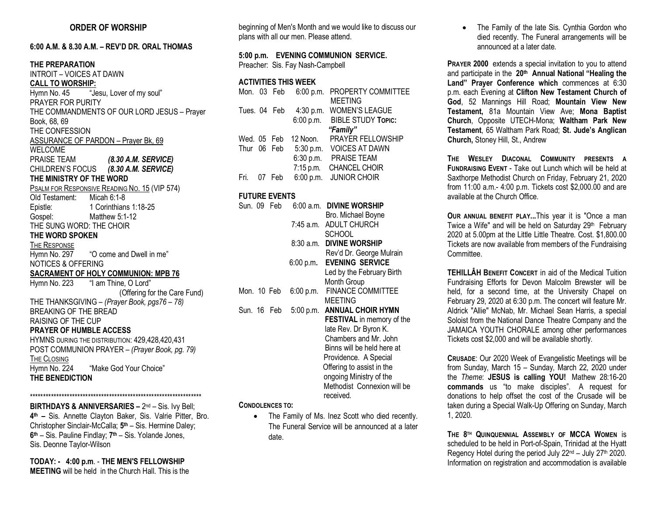## **6:00 A.M. & 8.30 A.M. – REV'D DR. ORAL THOMAS**

**THE PREPARATION** INTROIT – VOICES AT DAWN **CALL TO WORSHIP:**  Hymn No. 45 "Jesu, Lover of my soul" PRAYER FOR PURITY THE COMMANDMENTS OF OUR LORD JESUS – Prayer Book, 68, 69 THE CONFESSION ASSURANCE OF PARDON – Prayer Bk, 69 WELCOME PRAISE TEAM *(8.30 A.M. SERVICE)* CHILDREN'S FOCUS *(8.30 A.M. SERVICE)* **THE MINISTRY OF THE WORD PSALM FOR RESPONSIVE READING NO. 15 (VIP 574)**<br>Old Testament: Micah 6:1-8 Old Testament: Epistle: 1 Corinthians 1:18-25 Gospel: Matthew 5:1-12 THE SUNG WORD: THE CHOIR **THE WORD SPOKEN**  THE RESPONSE Hymn No. 297 "O come and Dwell in me" NOTICES & OFFERING **SACRAMENT OF HOLY COMMUNION: MPB 76** Hymn No. 223 "I am Thine, O Lord" (Offering for the Care Fund) THE THANKSGIVING – *(Prayer Book, pgs76 – 78)* BREAKING OF THE BREAD RAISING OF THE CUP **PRAYER OF HUMBLE ACCESS** HYMNS DURING THE DISTRIBUTION: 429,428,420,431 POST COMMUNION PRAYER – *(Prayer Book, pg. 79)* THE CLOSING Hymn No. 224 "Make God Your Choice" **THE BENEDICTION**  \*\*\*\*\*\*\*\*\*\*\*\*\*\*\*\*\*\*\*\*\*\*\*\*\*\*\*\*\*\*\*\*\*\*\*\*\*\*\*\*\*\*\*\*\*\*\*\*\*\*\*\*\*\*\*\*\*\*\*\*\*\*\*\*\*

**BIRTHDAYS & ANNIVERSARIES – 2nd – Sis. Ivy Bell; 4th –** Sis. Annette Clayton Baker, Sis. Valrie Pitter, Bro. Christopher Sinclair-McCalla; **5th** – Sis. Hermine Daley; **6th** – Sis. Pauline Findlay; **7th** – Sis. Yolande Jones, Sis. Deonne Taylor-Wilson

**TODAY: - 4:00 p.m**. - **THE MEN'S FELLOWSHIP MEETING** will be held in the Church Hall. This is the beginning of Men's Month and we would like to discuss our plans with all our men. Please attend.

**5:00 p.m. EVENING COMMUNION SERVICE.**  Preacher:Sis. Fay Nash-Campbell

## **ACTIVITIES THIS WEEK**

|              | Mon. 03 Feb |             | 6:00 p.m. PROPERTY COMMITTEE |
|--------------|-------------|-------------|------------------------------|
|              |             |             | <b>MEETING</b>               |
| Tues. 04 Feb |             | 4:30 p.m.   | <b>WOMEN'S LEAGUE</b>        |
|              |             | 6:00 p.m.   | <b>BIBLE STUDY TOPIC:</b>    |
|              |             |             | "Family"                     |
| Wed. 05 Feb. |             | 12 Noon.    | <b>PRAYER FELLOWSHIP</b>     |
| Thur 06 Feb  |             | 5:30 p.m.   | <b>VOICES AT DAWN</b>        |
|              |             | 6:30 p.m.   | <b>PRAISE TEAM</b>           |
|              |             | $7:15$ p.m. | <b>CHANCEL CHOIR</b>         |
| Fri.         | 07 Feb      |             | 6:00 p.m. JUNIOR CHOIR       |
|              |             |             |                              |

## **FUTURE EVENTS**

| Sun. 09 Feb |             |           | 6:00 a.m. DIVINE WORSHIP         |
|-------------|-------------|-----------|----------------------------------|
|             |             |           | Bro. Michael Boyne               |
|             |             | 7:45 a.m. | <b>ADULT CHURCH</b>              |
|             |             |           | <b>SCHOOL</b>                    |
|             |             | 8:30 a.m. | <b>DIVINE WORSHIP</b>            |
|             |             |           | Rev'd Dr. George Mulrain         |
|             |             | 6:00 p.m. | <b>EVENING SERVICE</b>           |
|             |             |           | Led by the February Birth        |
|             |             |           | Month Group                      |
|             | Mon. 10 Feb | 6:00 p.m. | <b>FINANCE COMMITTEE</b>         |
|             |             |           | <b>MEETING</b>                   |
|             | Sun. 16 Feb | 5:00 p.m. | <b>ANNUAL CHOIR HYMN</b>         |
|             |             |           | <b>FESTIVAL</b> in memory of the |
|             |             |           | late Rev. Dr Byron K.            |
|             |             |           | Chambers and Mr. John            |
|             |             |           | Binns will be held here at       |
|             |             |           | Providence. A Special            |
|             |             |           | Offering to assist in the        |
|             |             |           | ongoing Ministry of the          |
|             |             |           | Methodist Connexion will be      |
|             |             |           | received.                        |

### **CONDOLENCES TO:**

• The Family of Ms. Inez Scott who died recently. The Funeral Service will be announced at a later date.

• The Family of the late Sis. Cynthia Gordon who died recently. The Funeral arrangements will be announced at a later date.

**PRAYER 2000** extends a special invitation to you to attend and participate in the **20th Annual National "Healing the Land" Prayer Conference which** commences at 6:30 p.m. each Evening at **Clifton New Testament Church of God**, 52 Mannings Hill Road; **Mountain View New Testament,** 81a Mountain View Ave; **Mona Baptist Church**, Opposite UTECH-Mona; **Waltham Park New Testament**, 65 Waltham Park Road; **St. Jude's Anglican Church,** Stoney Hill, St., Andrew

**THE WESLEY DIACONAL COMMUNITY PRESENTS A FUNDRAISING EVENT** - Take out Lunch which will be held at Saxthorpe Methodist Church on Friday, February 21, 2020 from 11:00 a.m.- 4:00 p.m. Tickets cost \$2,000.00 and are available at the Church Office.

**OUR ANNUAL BENEFIT PLAY...**This year it is "Once a man Twice a Wife" and will be held on Saturday 29<sup>th</sup> February 2020 at 5.00pm at the Little Little Theatre. Cost. \$1,800.00 Tickets are now available from members of the Fundraising **Committee.** 

**TEHILLÂH BENEFIT CONCERT** in aid of the Medical Tuition Fundraising Efforts for Devon Malcolm Brewster will be held, for a second time, at the University Chapel on February 29, 2020 at 6:30 p.m. The concert will feature Mr. Aldrick "Allie" McNab, Mr. Michael Sean Harris, a special Soloist from the National Dance Theatre Company and the JAMAICA YOUTH CHORALE among other performances Tickets cost \$2,000 and will be available shortly.

**CRUSADE**: Our 2020 Week of Evangelistic Meetings will be from Sunday, March 15 – Sunday, March 22, 2020 under the *Theme*: **JESUS is calling YOU!** Mathew 28:16-20 **commands** us "to make disciples". A request for donations to help offset the cost of the Crusade will be taken during a Special Walk-Up Offering on Sunday, March 1, 2020.

**THE 8TH QUINQUENNIAL ASSEMBLY OF MCCA WOMEN** is scheduled to be held in Port-of-Spain, Trinidad at the Hyatt Regency Hotel during the period July  $22<sup>nd</sup>$  – July  $27<sup>th</sup>$  2020. Information on registration and accommodation is available